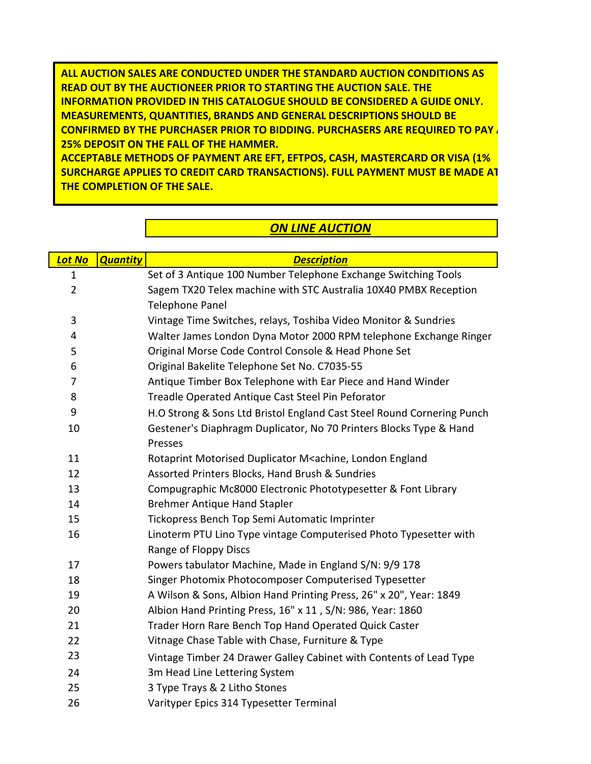**ALL AUCTION SALES ARE CONDUCTED UNDER THE STANDARD AUCTION CONDITIONS AS READ OUT BY THE AUCTIONEER PRIOR TO STARTING THE AUCTION SALE. THE INFORMATION PROVIDED IN THIS CATALOGUE SHOULD BE CONSIDERED A GUIDE ONLY. MEASUREMENTS, QUANTITIES, BRANDS AND GENERAL DESCRIPTIONS SHOULD BE CONFIRMED BY THE PURCHASER PRIOR TO BIDDING. PURCHASERS ARE REQUIRED TO PAY A 25% DEPOSIT ON THE FALL OF THE HAMMER.** 

**ACCEPTABLE METHODS OF PAYMENT ARE EFT, EFTPOS, CASH, MASTERCARD OR VISA (1% SURCHARGE APPLIES TO CREDIT CARD TRANSACTIONS). FULL PAYMENT MUST BE MADE AT THE COMPLETION OF THE SALE.** 

## *ON LINE AUCTION*

| <b>Lot No</b>  | <b>Quantity</b> | <b>Description</b>                                                               |
|----------------|-----------------|----------------------------------------------------------------------------------|
| $\mathbf{1}$   |                 | Set of 3 Antique 100 Number Telephone Exchange Switching Tools                   |
| $\overline{2}$ |                 | Sagem TX20 Telex machine with STC Australia 10X40 PMBX Reception                 |
|                |                 | <b>Telephone Panel</b>                                                           |
| 3              |                 | Vintage Time Switches, relays, Toshiba Video Monitor & Sundries                  |
| 4              |                 | Walter James London Dyna Motor 2000 RPM telephone Exchange Ringer                |
| 5              |                 | Original Morse Code Control Console & Head Phone Set                             |
| 6              |                 | Original Bakelite Telephone Set No. C7035-55                                     |
| 7              |                 | Antique Timber Box Telephone with Ear Piece and Hand Winder                      |
| 8              |                 | Treadle Operated Antique Cast Steel Pin Peforator                                |
| 9              |                 | H.O Strong & Sons Ltd Bristol England Cast Steel Round Cornering Punch           |
| 10             |                 | Gestener's Diaphragm Duplicator, No 70 Printers Blocks Type & Hand               |
|                |                 | Presses                                                                          |
| 11             |                 | Rotaprint Motorised Duplicator M <achine, england<="" london="" td=""></achine,> |
| 12             |                 | Assorted Printers Blocks, Hand Brush & Sundries                                  |
| 13             |                 | Compugraphic Mc8000 Electronic Phototypesetter & Font Library                    |
| 14             |                 | <b>Brehmer Antique Hand Stapler</b>                                              |
| 15             |                 | Tickopress Bench Top Semi Automatic Imprinter                                    |
| 16             |                 | Linoterm PTU Lino Type vintage Computerised Photo Typesetter with                |
|                |                 | Range of Floppy Discs                                                            |
| 17             |                 | Powers tabulator Machine, Made in England S/N: 9/9 178                           |
| 18             |                 | Singer Photomix Photocomposer Computerised Typesetter                            |
| 19             |                 | A Wilson & Sons, Albion Hand Printing Press, 26" x 20", Year: 1849               |
| 20             |                 | Albion Hand Printing Press, 16" x 11, S/N: 986, Year: 1860                       |
| 21             |                 | Trader Horn Rare Bench Top Hand Operated Quick Caster                            |
| 22             |                 | Vitnage Chase Table with Chase, Furniture & Type                                 |
| 23             |                 | Vintage Timber 24 Drawer Galley Cabinet with Contents of Lead Type               |
| 24             |                 | 3m Head Line Lettering System                                                    |
| 25             |                 | 3 Type Trays & 2 Litho Stones                                                    |
| 26             |                 | Varityper Epics 314 Typesetter Terminal                                          |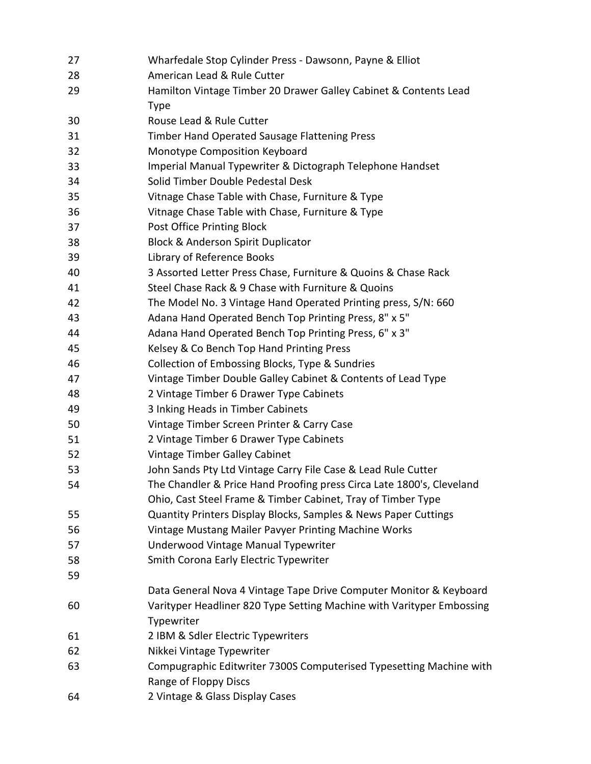| 27 | Wharfedale Stop Cylinder Press - Dawsonn, Payne & Elliot              |
|----|-----------------------------------------------------------------------|
| 28 | American Lead & Rule Cutter                                           |
| 29 | Hamilton Vintage Timber 20 Drawer Galley Cabinet & Contents Lead      |
|    | <b>Type</b>                                                           |
| 30 | Rouse Lead & Rule Cutter                                              |
| 31 | Timber Hand Operated Sausage Flattening Press                         |
| 32 | Monotype Composition Keyboard                                         |
| 33 | Imperial Manual Typewriter & Dictograph Telephone Handset             |
| 34 | Solid Timber Double Pedestal Desk                                     |
| 35 | Vitnage Chase Table with Chase, Furniture & Type                      |
| 36 | Vitnage Chase Table with Chase, Furniture & Type                      |
| 37 | Post Office Printing Block                                            |
| 38 | <b>Block &amp; Anderson Spirit Duplicator</b>                         |
| 39 | Library of Reference Books                                            |
| 40 | 3 Assorted Letter Press Chase, Furniture & Quoins & Chase Rack        |
| 41 | Steel Chase Rack & 9 Chase with Furniture & Quoins                    |
| 42 | The Model No. 3 Vintage Hand Operated Printing press, S/N: 660        |
| 43 | Adana Hand Operated Bench Top Printing Press, 8" x 5"                 |
| 44 | Adana Hand Operated Bench Top Printing Press, 6" x 3"                 |
| 45 | Kelsey & Co Bench Top Hand Printing Press                             |
| 46 | Collection of Embossing Blocks, Type & Sundries                       |
| 47 | Vintage Timber Double Galley Cabinet & Contents of Lead Type          |
| 48 | 2 Vintage Timber 6 Drawer Type Cabinets                               |
| 49 | 3 Inking Heads in Timber Cabinets                                     |
| 50 | Vintage Timber Screen Printer & Carry Case                            |
| 51 | 2 Vintage Timber 6 Drawer Type Cabinets                               |
| 52 | Vintage Timber Galley Cabinet                                         |
| 53 | John Sands Pty Ltd Vintage Carry File Case & Lead Rule Cutter         |
| 54 | The Chandler & Price Hand Proofing press Circa Late 1800's, Cleveland |
|    | Ohio, Cast Steel Frame & Timber Cabinet, Tray of Timber Type          |
| 55 | Quantity Printers Display Blocks, Samples & News Paper Cuttings       |
| 56 | Vintage Mustang Mailer Pavyer Printing Machine Works                  |
| 57 | Underwood Vintage Manual Typewriter                                   |
| 58 | Smith Corona Early Electric Typewriter                                |
| 59 |                                                                       |
|    | Data General Nova 4 Vintage Tape Drive Computer Monitor & Keyboard    |
| 60 | Varityper Headliner 820 Type Setting Machine with Varityper Embossing |
|    | Typewriter                                                            |
| 61 | 2 IBM & Sdler Electric Typewriters                                    |
| 62 | Nikkei Vintage Typewriter                                             |
| 63 | Compugraphic Editwriter 7300S Computerised Typesetting Machine with   |
|    | Range of Floppy Discs                                                 |
| 64 | 2 Vintage & Glass Display Cases                                       |
|    |                                                                       |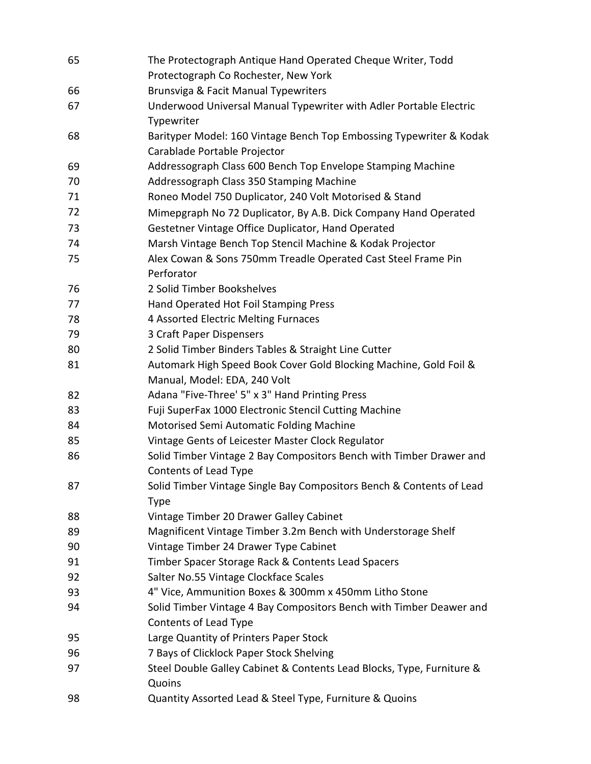| 65 | The Protectograph Antique Hand Operated Cheque Writer, Todd<br>Protectograph Co Rochester, New York |
|----|-----------------------------------------------------------------------------------------------------|
| 66 | Brunsviga & Facit Manual Typewriters                                                                |
| 67 | Underwood Universal Manual Typewriter with Adler Portable Electric                                  |
|    | Typewriter                                                                                          |
| 68 | Barityper Model: 160 Vintage Bench Top Embossing Typewriter & Kodak                                 |
|    | Carablade Portable Projector                                                                        |
| 69 | Addressograph Class 600 Bench Top Envelope Stamping Machine                                         |
| 70 | Addressograph Class 350 Stamping Machine                                                            |
| 71 | Roneo Model 750 Duplicator, 240 Volt Motorised & Stand                                              |
| 72 | Mimepgraph No 72 Duplicator, By A.B. Dick Company Hand Operated                                     |
| 73 | Gestetner Vintage Office Duplicator, Hand Operated                                                  |
| 74 | Marsh Vintage Bench Top Stencil Machine & Kodak Projector                                           |
| 75 | Alex Cowan & Sons 750mm Treadle Operated Cast Steel Frame Pin                                       |
|    | Perforator                                                                                          |
| 76 | 2 Solid Timber Bookshelves                                                                          |
| 77 | Hand Operated Hot Foil Stamping Press                                                               |
| 78 | 4 Assorted Electric Melting Furnaces                                                                |
| 79 | 3 Craft Paper Dispensers                                                                            |
| 80 | 2 Solid Timber Binders Tables & Straight Line Cutter                                                |
| 81 | Automark High Speed Book Cover Gold Blocking Machine, Gold Foil &                                   |
|    | Manual, Model: EDA, 240 Volt                                                                        |
| 82 | Adana "Five-Three' 5" x 3" Hand Printing Press                                                      |
| 83 | Fuji SuperFax 1000 Electronic Stencil Cutting Machine                                               |
| 84 | Motorised Semi Automatic Folding Machine                                                            |
| 85 | Vintage Gents of Leicester Master Clock Regulator                                                   |
| 86 | Solid Timber Vintage 2 Bay Compositors Bench with Timber Drawer and                                 |
|    | Contents of Lead Type                                                                               |
| 87 | Solid Timber Vintage Single Bay Compositors Bench & Contents of Lead                                |
|    | <b>Type</b>                                                                                         |
| 88 | Vintage Timber 20 Drawer Galley Cabinet                                                             |
| 89 | Magnificent Vintage Timber 3.2m Bench with Understorage Shelf                                       |
| 90 | Vintage Timber 24 Drawer Type Cabinet                                                               |
| 91 | Timber Spacer Storage Rack & Contents Lead Spacers                                                  |
| 92 | Salter No.55 Vintage Clockface Scales                                                               |
| 93 | 4" Vice, Ammunition Boxes & 300mm x 450mm Litho Stone                                               |
| 94 | Solid Timber Vintage 4 Bay Compositors Bench with Timber Deawer and<br>Contents of Lead Type        |
| 95 | Large Quantity of Printers Paper Stock                                                              |
| 96 | 7 Bays of Clicklock Paper Stock Shelving                                                            |
| 97 | Steel Double Galley Cabinet & Contents Lead Blocks, Type, Furniture &                               |
|    | Quoins                                                                                              |
| 98 | Quantity Assorted Lead & Steel Type, Furniture & Quoins                                             |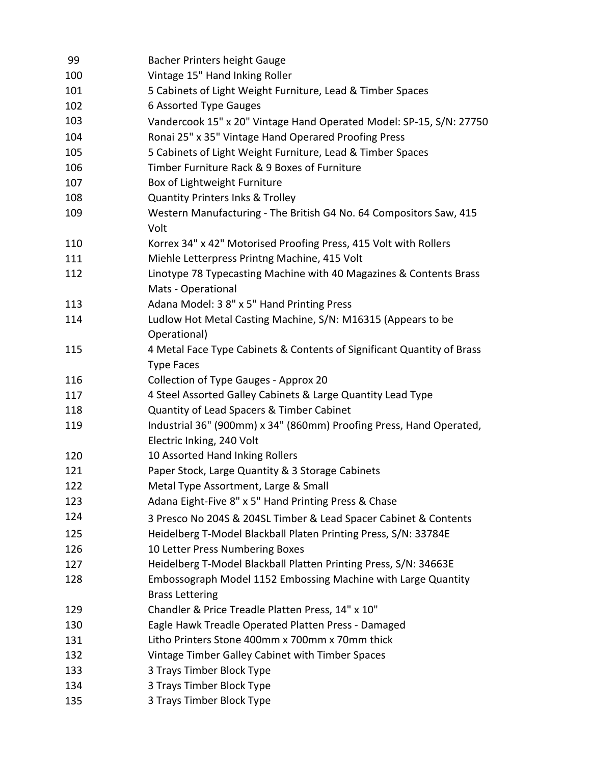| 99  | Bacher Printers height Gauge                                                                |
|-----|---------------------------------------------------------------------------------------------|
| 100 | Vintage 15" Hand Inking Roller                                                              |
| 101 | 5 Cabinets of Light Weight Furniture, Lead & Timber Spaces                                  |
| 102 | 6 Assorted Type Gauges                                                                      |
| 103 | Vandercook 15" x 20" Vintage Hand Operated Model: SP-15, S/N: 27750                         |
| 104 | Ronai 25" x 35" Vintage Hand Operared Proofing Press                                        |
| 105 | 5 Cabinets of Light Weight Furniture, Lead & Timber Spaces                                  |
| 106 | Timber Furniture Rack & 9 Boxes of Furniture                                                |
| 107 | Box of Lightweight Furniture                                                                |
| 108 | <b>Quantity Printers Inks &amp; Trolley</b>                                                 |
| 109 | Western Manufacturing - The British G4 No. 64 Compositors Saw, 415<br>Volt                  |
| 110 | Korrex 34" x 42" Motorised Proofing Press, 415 Volt with Rollers                            |
| 111 | Miehle Letterpress Printng Machine, 415 Volt                                                |
| 112 | Linotype 78 Typecasting Machine with 40 Magazines & Contents Brass<br>Mats - Operational    |
| 113 | Adana Model: 3 8" x 5" Hand Printing Press                                                  |
| 114 | Ludlow Hot Metal Casting Machine, S/N: M16315 (Appears to be<br>Operational)                |
| 115 | 4 Metal Face Type Cabinets & Contents of Significant Quantity of Brass<br><b>Type Faces</b> |
| 116 | Collection of Type Gauges - Approx 20                                                       |
| 117 | 4 Steel Assorted Galley Cabinets & Large Quantity Lead Type                                 |
| 118 | Quantity of Lead Spacers & Timber Cabinet                                                   |
| 119 | Industrial 36" (900mm) x 34" (860mm) Proofing Press, Hand Operated,                         |
|     | Electric Inking, 240 Volt                                                                   |
| 120 | 10 Assorted Hand Inking Rollers                                                             |
| 121 | Paper Stock, Large Quantity & 3 Storage Cabinets                                            |
| 122 | Metal Type Assortment, Large & Small                                                        |
| 123 | Adana Eight-Five 8" x 5" Hand Printing Press & Chase                                        |
| 124 | 3 Presco No 204S & 204SL Timber & Lead Spacer Cabinet & Contents                            |
| 125 | Heidelberg T-Model Blackball Platen Printing Press, S/N: 33784E                             |
| 126 | 10 Letter Press Numbering Boxes                                                             |
| 127 | Heidelberg T-Model Blackball Platten Printing Press, S/N: 34663E                            |
| 128 | Embossograph Model 1152 Embossing Machine with Large Quantity<br><b>Brass Lettering</b>     |
| 129 | Chandler & Price Treadle Platten Press, 14" x 10"                                           |
| 130 | Eagle Hawk Treadle Operated Platten Press - Damaged                                         |
| 131 | Litho Printers Stone 400mm x 700mm x 70mm thick                                             |
| 132 | Vintage Timber Galley Cabinet with Timber Spaces                                            |
| 133 | 3 Trays Timber Block Type                                                                   |
| 134 | 3 Trays Timber Block Type                                                                   |
| 135 | 3 Trays Timber Block Type                                                                   |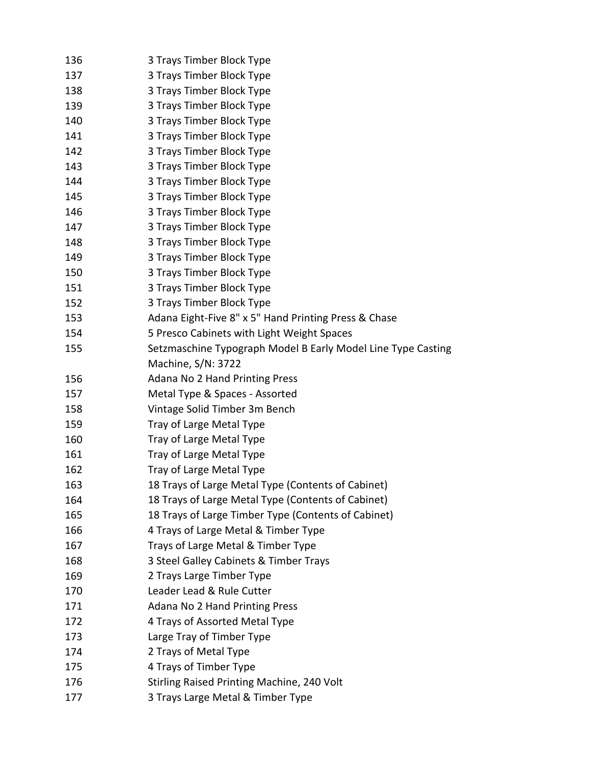| 136 | 3 Trays Timber Block Type                                    |
|-----|--------------------------------------------------------------|
| 137 | 3 Trays Timber Block Type                                    |
| 138 | 3 Trays Timber Block Type                                    |
| 139 | 3 Trays Timber Block Type                                    |
| 140 | 3 Trays Timber Block Type                                    |
| 141 | 3 Trays Timber Block Type                                    |
| 142 | 3 Trays Timber Block Type                                    |
| 143 | 3 Trays Timber Block Type                                    |
| 144 | 3 Trays Timber Block Type                                    |
| 145 | 3 Trays Timber Block Type                                    |
| 146 | 3 Trays Timber Block Type                                    |
| 147 | 3 Trays Timber Block Type                                    |
| 148 | 3 Trays Timber Block Type                                    |
| 149 | 3 Trays Timber Block Type                                    |
| 150 | 3 Trays Timber Block Type                                    |
| 151 | 3 Trays Timber Block Type                                    |
| 152 | 3 Trays Timber Block Type                                    |
| 153 | Adana Eight-Five 8" x 5" Hand Printing Press & Chase         |
| 154 | 5 Presco Cabinets with Light Weight Spaces                   |
| 155 | Setzmaschine Typograph Model B Early Model Line Type Casting |
|     | Machine, S/N: 3722                                           |
| 156 | <b>Adana No 2 Hand Printing Press</b>                        |
| 157 | Metal Type & Spaces - Assorted                               |
| 158 | Vintage Solid Timber 3m Bench                                |
| 159 | Tray of Large Metal Type                                     |
| 160 | Tray of Large Metal Type                                     |
| 161 | Tray of Large Metal Type                                     |
| 162 | Tray of Large Metal Type                                     |
| 163 | 18 Trays of Large Metal Type (Contents of Cabinet)           |
| 164 | 18 Trays of Large Metal Type (Contents of Cabinet)           |
| 165 | 18 Trays of Large Timber Type (Contents of Cabinet)          |
| 166 | 4 Trays of Large Metal & Timber Type                         |
| 167 | Trays of Large Metal & Timber Type                           |
| 168 | 3 Steel Galley Cabinets & Timber Trays                       |
| 169 | 2 Trays Large Timber Type                                    |
| 170 | Leader Lead & Rule Cutter                                    |
| 171 | <b>Adana No 2 Hand Printing Press</b>                        |
| 172 | 4 Trays of Assorted Metal Type                               |
| 173 | Large Tray of Timber Type                                    |
| 174 | 2 Trays of Metal Type                                        |
| 175 | 4 Trays of Timber Type                                       |
| 176 | Stirling Raised Printing Machine, 240 Volt                   |
| 177 | 3 Trays Large Metal & Timber Type                            |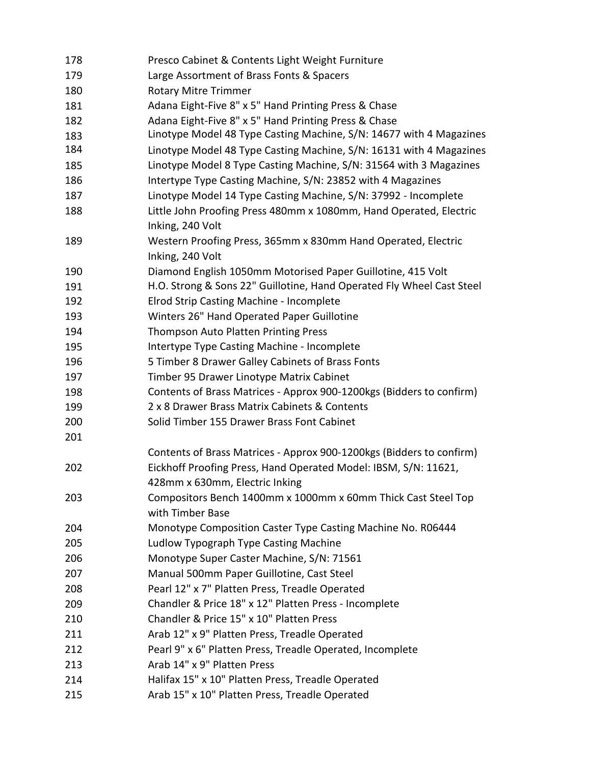| 178 | Presco Cabinet & Contents Light Weight Furniture                                                  |
|-----|---------------------------------------------------------------------------------------------------|
| 179 | Large Assortment of Brass Fonts & Spacers                                                         |
| 180 | <b>Rotary Mitre Trimmer</b>                                                                       |
| 181 | Adana Eight-Five 8" x 5" Hand Printing Press & Chase                                              |
| 182 | Adana Eight-Five 8" x 5" Hand Printing Press & Chase                                              |
| 183 | Linotype Model 48 Type Casting Machine, S/N: 14677 with 4 Magazines                               |
| 184 | Linotype Model 48 Type Casting Machine, S/N: 16131 with 4 Magazines                               |
| 185 | Linotype Model 8 Type Casting Machine, S/N: 31564 with 3 Magazines                                |
| 186 | Intertype Type Casting Machine, S/N: 23852 with 4 Magazines                                       |
| 187 | Linotype Model 14 Type Casting Machine, S/N: 37992 - Incomplete                                   |
| 188 | Little John Proofing Press 480mm x 1080mm, Hand Operated, Electric                                |
|     | Inking, 240 Volt                                                                                  |
| 189 | Western Proofing Press, 365mm x 830mm Hand Operated, Electric                                     |
|     | Inking, 240 Volt                                                                                  |
| 190 | Diamond English 1050mm Motorised Paper Guillotine, 415 Volt                                       |
| 191 | H.O. Strong & Sons 22" Guillotine, Hand Operated Fly Wheel Cast Steel                             |
| 192 | Elrod Strip Casting Machine - Incomplete                                                          |
| 193 | Winters 26" Hand Operated Paper Guillotine                                                        |
| 194 | <b>Thompson Auto Platten Printing Press</b>                                                       |
| 195 | Intertype Type Casting Machine - Incomplete                                                       |
| 196 | 5 Timber 8 Drawer Galley Cabinets of Brass Fonts                                                  |
| 197 | Timber 95 Drawer Linotype Matrix Cabinet                                                          |
| 198 | Contents of Brass Matrices - Approx 900-1200kgs (Bidders to confirm)                              |
| 199 | 2 x 8 Drawer Brass Matrix Cabinets & Contents                                                     |
| 200 | Solid Timber 155 Drawer Brass Font Cabinet                                                        |
| 201 |                                                                                                   |
|     | Contents of Brass Matrices - Approx 900-1200kgs (Bidders to confirm)                              |
| 202 | Eickhoff Proofing Press, Hand Operated Model: IBSM, S/N: 11621,<br>428mm x 630mm, Electric Inking |
| 203 | Compositors Bench 1400mm x 1000mm x 60mm Thick Cast Steel Top                                     |
|     | with Timber Base                                                                                  |
| 204 | Monotype Composition Caster Type Casting Machine No. R06444                                       |
| 205 | Ludlow Typograph Type Casting Machine                                                             |
| 206 | Monotype Super Caster Machine, S/N: 71561                                                         |
| 207 | Manual 500mm Paper Guillotine, Cast Steel                                                         |
| 208 | Pearl 12" x 7" Platten Press, Treadle Operated                                                    |
| 209 | Chandler & Price 18" x 12" Platten Press - Incomplete                                             |
| 210 | Chandler & Price 15" x 10" Platten Press                                                          |
| 211 | Arab 12" x 9" Platten Press, Treadle Operated                                                     |
| 212 | Pearl 9" x 6" Platten Press, Treadle Operated, Incomplete                                         |
| 213 | Arab 14" x 9" Platten Press                                                                       |
| 214 | Halifax 15" x 10" Platten Press, Treadle Operated                                                 |
| 215 | Arab 15" x 10" Platten Press, Treadle Operated                                                    |
|     |                                                                                                   |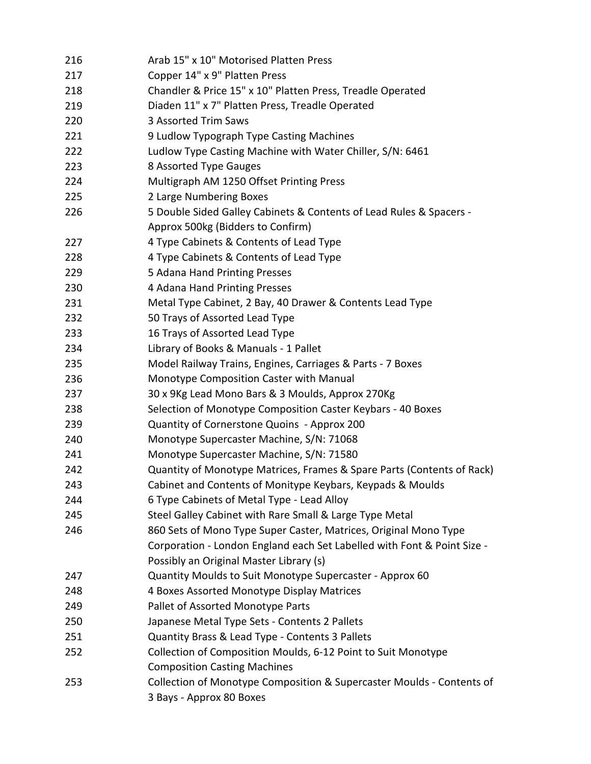| 216 | Arab 15" x 10" Motorised Platten Press                                  |
|-----|-------------------------------------------------------------------------|
| 217 | Copper 14" x 9" Platten Press                                           |
| 218 | Chandler & Price 15" x 10" Platten Press, Treadle Operated              |
| 219 | Diaden 11" x 7" Platten Press, Treadle Operated                         |
| 220 | 3 Assorted Trim Saws                                                    |
| 221 | 9 Ludlow Typograph Type Casting Machines                                |
| 222 | Ludlow Type Casting Machine with Water Chiller, S/N: 6461               |
| 223 | 8 Assorted Type Gauges                                                  |
| 224 | Multigraph AM 1250 Offset Printing Press                                |
| 225 | 2 Large Numbering Boxes                                                 |
| 226 | 5 Double Sided Galley Cabinets & Contents of Lead Rules & Spacers -     |
|     | Approx 500kg (Bidders to Confirm)                                       |
| 227 | 4 Type Cabinets & Contents of Lead Type                                 |
| 228 | 4 Type Cabinets & Contents of Lead Type                                 |
| 229 | 5 Adana Hand Printing Presses                                           |
| 230 | 4 Adana Hand Printing Presses                                           |
| 231 | Metal Type Cabinet, 2 Bay, 40 Drawer & Contents Lead Type               |
| 232 | 50 Trays of Assorted Lead Type                                          |
| 233 | 16 Trays of Assorted Lead Type                                          |
| 234 | Library of Books & Manuals - 1 Pallet                                   |
| 235 | Model Railway Trains, Engines, Carriages & Parts - 7 Boxes              |
| 236 | Monotype Composition Caster with Manual                                 |
| 237 | 30 x 9Kg Lead Mono Bars & 3 Moulds, Approx 270Kg                        |
| 238 | Selection of Monotype Composition Caster Keybars - 40 Boxes             |
| 239 | Quantity of Cornerstone Quoins - Approx 200                             |
| 240 | Monotype Supercaster Machine, S/N: 71068                                |
| 241 | Monotype Supercaster Machine, S/N: 71580                                |
| 242 | Quantity of Monotype Matrices, Frames & Spare Parts (Contents of Rack)  |
| 243 | Cabinet and Contents of Monitype Keybars, Keypads & Moulds              |
| 244 | 6 Type Cabinets of Metal Type - Lead Alloy                              |
| 245 | Steel Galley Cabinet with Rare Small & Large Type Metal                 |
| 246 | 860 Sets of Mono Type Super Caster, Matrices, Original Mono Type        |
|     | Corporation - London England each Set Labelled with Font & Point Size - |
|     | Possibly an Original Master Library (s)                                 |
| 247 | Quantity Moulds to Suit Monotype Supercaster - Approx 60                |
| 248 | 4 Boxes Assorted Monotype Display Matrices                              |
| 249 | Pallet of Assorted Monotype Parts                                       |
| 250 | Japanese Metal Type Sets - Contents 2 Pallets                           |
| 251 | Quantity Brass & Lead Type - Contents 3 Pallets                         |
| 252 | Collection of Composition Moulds, 6-12 Point to Suit Monotype           |
|     | <b>Composition Casting Machines</b>                                     |
| 253 | Collection of Monotype Composition & Supercaster Moulds - Contents of   |
|     | 3 Bays - Approx 80 Boxes                                                |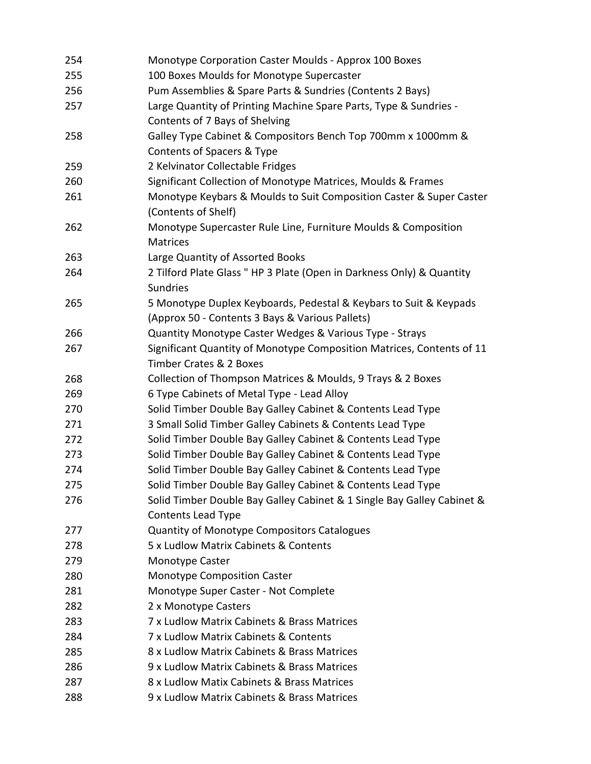| 254 | Monotype Corporation Caster Moulds - Approx 100 Boxes                                      |
|-----|--------------------------------------------------------------------------------------------|
| 255 | 100 Boxes Moulds for Monotype Supercaster                                                  |
| 256 | Pum Assemblies & Spare Parts & Sundries (Contents 2 Bays)                                  |
| 257 | Large Quantity of Printing Machine Spare Parts, Type & Sundries -                          |
|     | Contents of 7 Bays of Shelving                                                             |
| 258 | Galley Type Cabinet & Compositors Bench Top 700mm x 1000mm &                               |
|     | Contents of Spacers & Type                                                                 |
| 259 | 2 Kelvinator Collectable Fridges                                                           |
| 260 | Significant Collection of Monotype Matrices, Moulds & Frames                               |
| 261 | Monotype Keybars & Moulds to Suit Composition Caster & Super Caster<br>(Contents of Shelf) |
| 262 | Monotype Supercaster Rule Line, Furniture Moulds & Composition<br><b>Matrices</b>          |
| 263 | Large Quantity of Assorted Books                                                           |
| 264 | 2 Tilford Plate Glass " HP 3 Plate (Open in Darkness Only) & Quantity                      |
|     | <b>Sundries</b>                                                                            |
| 265 | 5 Monotype Duplex Keyboards, Pedestal & Keybars to Suit & Keypads                          |
|     | (Approx 50 - Contents 3 Bays & Various Pallets)                                            |
| 266 | Quantity Monotype Caster Wedges & Various Type - Strays                                    |
| 267 | Significant Quantity of Monotype Composition Matrices, Contents of 11                      |
|     | Timber Crates & 2 Boxes                                                                    |
| 268 | Collection of Thompson Matrices & Moulds, 9 Trays & 2 Boxes                                |
| 269 | 6 Type Cabinets of Metal Type - Lead Alloy                                                 |
| 270 | Solid Timber Double Bay Galley Cabinet & Contents Lead Type                                |
| 271 | 3 Small Solid Timber Galley Cabinets & Contents Lead Type                                  |
| 272 | Solid Timber Double Bay Galley Cabinet & Contents Lead Type                                |
| 273 | Solid Timber Double Bay Galley Cabinet & Contents Lead Type                                |
| 274 | Solid Timber Double Bay Galley Cabinet & Contents Lead Type                                |
| 275 | Solid Timber Double Bay Galley Cabinet & Contents Lead Type                                |
| 276 | Solid Timber Double Bay Galley Cabinet & 1 Single Bay Galley Cabinet &                     |
|     | Contents Lead Type                                                                         |
| 277 | <b>Quantity of Monotype Compositors Catalogues</b>                                         |
| 278 | 5 x Ludlow Matrix Cabinets & Contents                                                      |
| 279 | Monotype Caster                                                                            |
| 280 | <b>Monotype Composition Caster</b>                                                         |
| 281 | Monotype Super Caster - Not Complete                                                       |
| 282 | 2 x Monotype Casters                                                                       |
| 283 | 7 x Ludlow Matrix Cabinets & Brass Matrices                                                |
| 284 | 7 x Ludlow Matrix Cabinets & Contents                                                      |
| 285 | 8 x Ludlow Matrix Cabinets & Brass Matrices                                                |
| 286 | 9 x Ludlow Matrix Cabinets & Brass Matrices                                                |
| 287 | 8 x Ludlow Matix Cabinets & Brass Matrices                                                 |
| 288 | 9 x Ludlow Matrix Cabinets & Brass Matrices                                                |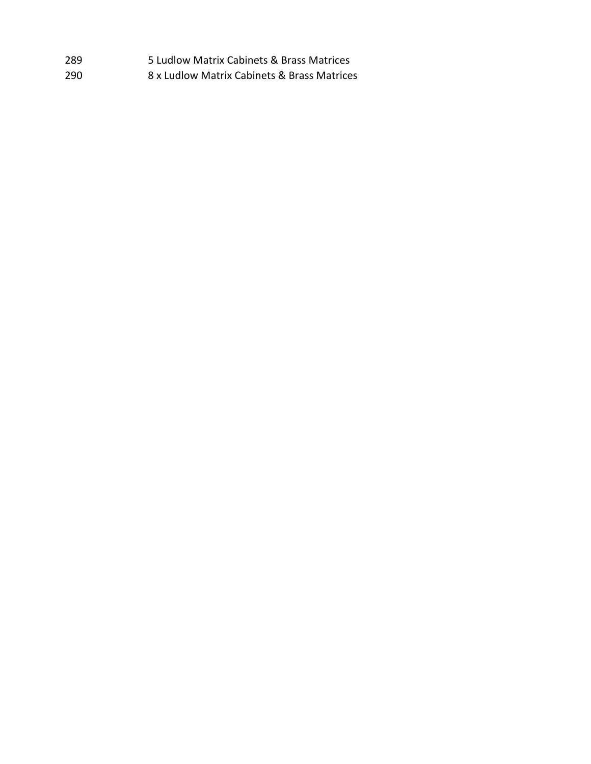| -289 | 5 Ludlow Matrix Cabinets & Brass Matrices   |
|------|---------------------------------------------|
| -290 | 8 x Ludlow Matrix Cabinets & Brass Matrices |